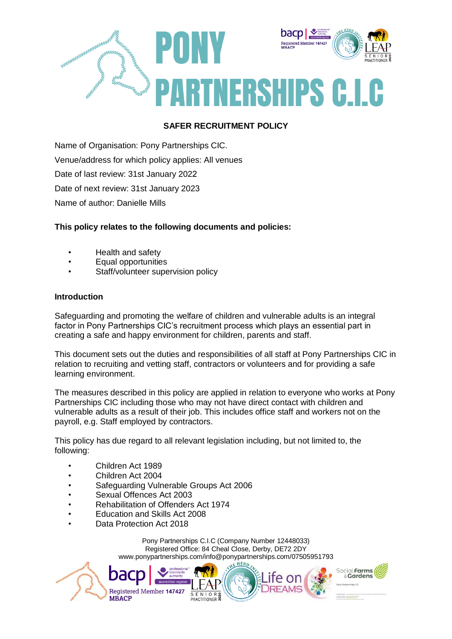

# **SAFER RECRUITMENT POLICY**

Name of Organisation: Pony Partnerships CIC. Venue/address for which policy applies: All venues Date of last review: 31st January 2022 Date of next review: 31st January 2023 Name of author: Danielle Mills

# **This policy relates to the following documents and policies:**

- Health and safety
- Equal opportunities
- Staff/volunteer supervision policy

# **Introduction**

Safeguarding and promoting the welfare of children and vulnerable adults is an integral factor in Pony Partnerships CIC's recruitment process which plays an essential part in creating a safe and happy environment for children, parents and staff.

This document sets out the duties and responsibilities of all staff at Pony Partnerships CIC in relation to recruiting and vetting staff, contractors or volunteers and for providing a safe learning environment.

The measures described in this policy are applied in relation to everyone who works at Pony Partnerships CIC including those who may not have direct contact with children and vulnerable adults as a result of their job. This includes office staff and workers not on the payroll, e.g. Staff employed by contractors.

This policy has due regard to all relevant legislation including, but not limited to, the following:

- Children Act 1989
- Children Act 2004
- Safeguarding Vulnerable Groups Act 2006
- Sexual Offences Act 2003
- Rehabilitation of Offenders Act 1974

Registered Member 147427

- Education and Skills Act 2008
- Data Protection Act 2018

Da

**MBACP** 

Pony Partnerships C.I.C (Company Number 12448033) Registered Office: 84 Cheal Close, Derby, DE72 2DY www.ponypartnerships.com/info@ponypartnerships.com/07505951793



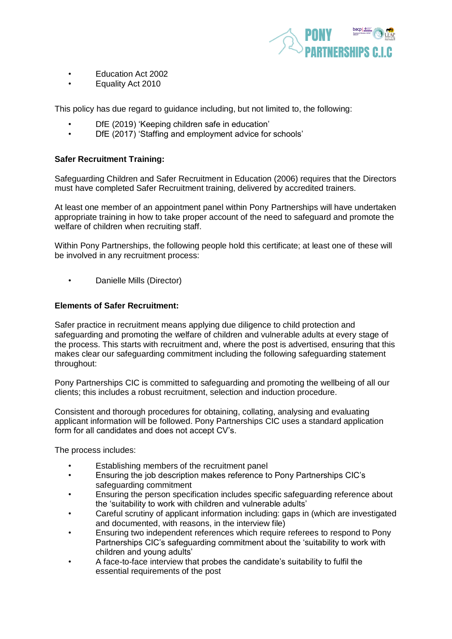

- Education Act 2002
- Equality Act 2010

This policy has due regard to guidance including, but not limited to, the following:

- DfE (2019) 'Keeping children safe in education'
- DfE (2017) 'Staffing and employment advice for schools'

# **Safer Recruitment Training:**

Safeguarding Children and Safer Recruitment in Education (2006) requires that the Directors must have completed Safer Recruitment training, delivered by accredited trainers.

At least one member of an appointment panel within Pony Partnerships will have undertaken appropriate training in how to take proper account of the need to safeguard and promote the welfare of children when recruiting staff.

Within Pony Partnerships, the following people hold this certificate; at least one of these will be involved in any recruitment process:

• Danielle Mills (Director)

# **Elements of Safer Recruitment:**

Safer practice in recruitment means applying due diligence to child protection and safeguarding and promoting the welfare of children and vulnerable adults at every stage of the process. This starts with recruitment and, where the post is advertised, ensuring that this makes clear our safeguarding commitment including the following safeguarding statement throughout:

Pony Partnerships CIC is committed to safeguarding and promoting the wellbeing of all our clients; this includes a robust recruitment, selection and induction procedure.

Consistent and thorough procedures for obtaining, collating, analysing and evaluating applicant information will be followed. Pony Partnerships CIC uses a standard application form for all candidates and does not accept CV's.

The process includes:

- Establishing members of the recruitment panel
- Ensuring the job description makes reference to Pony Partnerships CIC's safeguarding commitment
- Ensuring the person specification includes specific safeguarding reference about the 'suitability to work with children and vulnerable adults'
- Careful scrutiny of applicant information including: gaps in (which are investigated and documented, with reasons, in the interview file)
- Ensuring two independent references which require referees to respond to Pony Partnerships CIC's safeguarding commitment about the 'suitability to work with children and young adults'
- A face-to-face interview that probes the candidate's suitability to fulfil the essential requirements of the post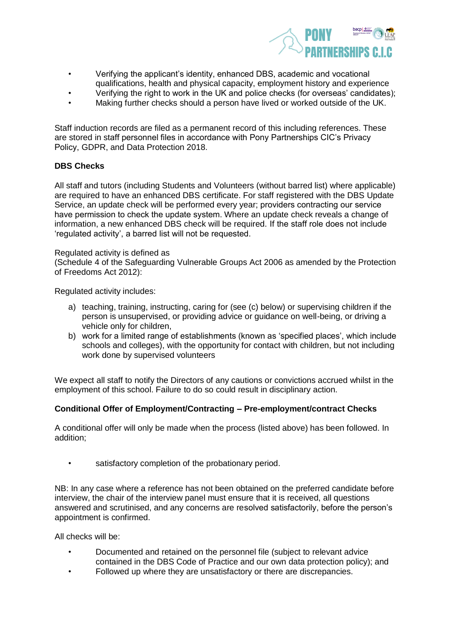

- Verifying the applicant's identity, enhanced DBS, academic and vocational qualifications, health and physical capacity, employment history and experience
- Verifying the right to work in the UK and police checks (for overseas' candidates);
- Making further checks should a person have lived or worked outside of the UK.

Staff induction records are filed as a permanent record of this including references. These are stored in staff personnel files in accordance with Pony Partnerships CIC's Privacy Policy, GDPR, and Data Protection 2018.

# **DBS Checks**

All staff and tutors (including Students and Volunteers (without barred list) where applicable) are required to have an enhanced DBS certificate. For staff registered with the DBS Update Service, an update check will be performed every year; providers contracting our service have permission to check the update system. Where an update check reveals a change of information, a new enhanced DBS check will be required. If the staff role does not include 'regulated activity', a barred list will not be requested.

#### Regulated activity is defined as

(Schedule 4 of the Safeguarding Vulnerable Groups Act 2006 as amended by the Protection of Freedoms Act 2012):

Regulated activity includes:

- a) teaching, training, instructing, caring for (see (c) below) or supervising children if the person is unsupervised, or providing advice or guidance on well-being, or driving a vehicle only for children,
- b) work for a limited range of establishments (known as 'specified places', which include schools and colleges), with the opportunity for contact with children, but not including work done by supervised volunteers

We expect all staff to notify the Directors of any cautions or convictions accrued whilst in the employment of this school. Failure to do so could result in disciplinary action.

# **Conditional Offer of Employment/Contracting – Pre-employment/contract Checks**

A conditional offer will only be made when the process (listed above) has been followed. In addition;

satisfactory completion of the probationary period.

NB: In any case where a reference has not been obtained on the preferred candidate before interview, the chair of the interview panel must ensure that it is received, all questions answered and scrutinised, and any concerns are resolved satisfactorily, before the person's appointment is confirmed.

All checks will be:

- Documented and retained on the personnel file (subject to relevant advice contained in the DBS Code of Practice and our own data protection policy); and
- Followed up where they are unsatisfactory or there are discrepancies.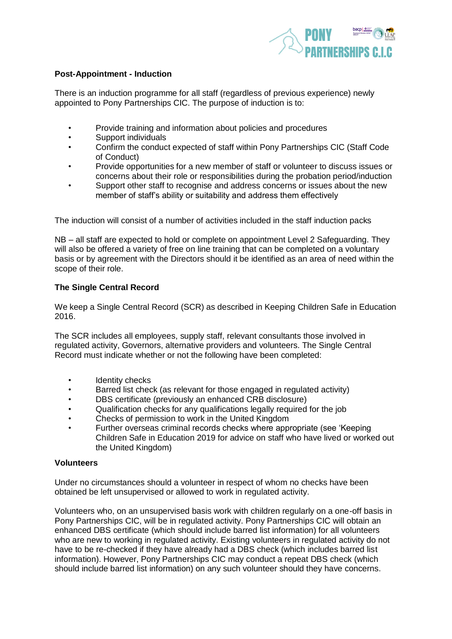

# **Post-Appointment - Induction**

There is an induction programme for all staff (regardless of previous experience) newly appointed to Pony Partnerships CIC. The purpose of induction is to:

- Provide training and information about policies and procedures
- Support individuals
- Confirm the conduct expected of staff within Pony Partnerships CIC (Staff Code of Conduct)
- Provide opportunities for a new member of staff or volunteer to discuss issues or concerns about their role or responsibilities during the probation period/induction
- Support other staff to recognise and address concerns or issues about the new member of staff's ability or suitability and address them effectively

The induction will consist of a number of activities included in the staff induction packs

NB – all staff are expected to hold or complete on appointment Level 2 Safeguarding. They will also be offered a variety of free on line training that can be completed on a voluntary basis or by agreement with the Directors should it be identified as an area of need within the scope of their role.

# **The Single Central Record**

We keep a Single Central Record (SCR) as described in Keeping Children Safe in Education 2016.

The SCR includes all employees, supply staff, relevant consultants those involved in regulated activity, Governors, alternative providers and volunteers. The Single Central Record must indicate whether or not the following have been completed:

- Identity checks
- Barred list check (as relevant for those engaged in regulated activity)
- DBS certificate (previously an enhanced CRB disclosure)
- Qualification checks for any qualifications legally required for the job
- Checks of permission to work in the United Kingdom
- Further overseas criminal records checks where appropriate (see 'Keeping Children Safe in Education 2019 for advice on staff who have lived or worked out the United Kingdom)

#### **Volunteers**

Under no circumstances should a volunteer in respect of whom no checks have been obtained be left unsupervised or allowed to work in regulated activity.

Volunteers who, on an unsupervised basis work with children regularly on a one-off basis in Pony Partnerships CIC, will be in regulated activity. Pony Partnerships CIC will obtain an enhanced DBS certificate (which should include barred list information) for all volunteers who are new to working in regulated activity. Existing volunteers in regulated activity do not have to be re-checked if they have already had a DBS check (which includes barred list information). However, Pony Partnerships CIC may conduct a repeat DBS check (which should include barred list information) on any such volunteer should they have concerns.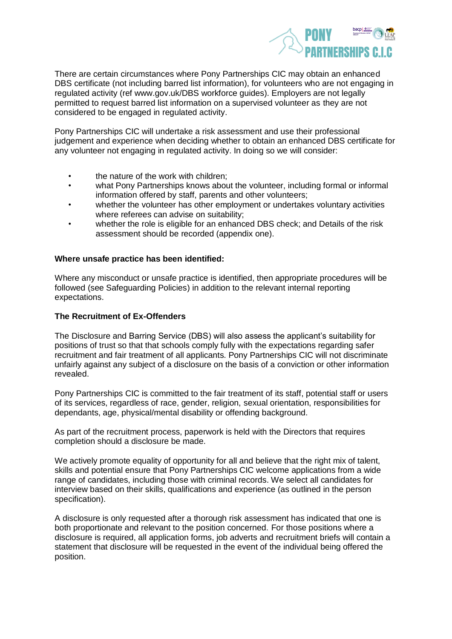

There are certain circumstances where Pony Partnerships CIC may obtain an enhanced DBS certificate (not including barred list information), for volunteers who are not engaging in regulated activity (ref www.gov.uk/DBS workforce guides). Employers are not legally permitted to request barred list information on a supervised volunteer as they are not considered to be engaged in regulated activity.

Pony Partnerships CIC will undertake a risk assessment and use their professional judgement and experience when deciding whether to obtain an enhanced DBS certificate for any volunteer not engaging in regulated activity. In doing so we will consider:

- the nature of the work with children;
- what Pony Partnerships knows about the volunteer, including formal or informal information offered by staff, parents and other volunteers;
- whether the volunteer has other employment or undertakes voluntary activities where referees can advise on suitability;
- whether the role is eligible for an enhanced DBS check; and Details of the risk assessment should be recorded (appendix one).

#### **Where unsafe practice has been identified:**

Where any misconduct or unsafe practice is identified, then appropriate procedures will be followed (see Safeguarding Policies) in addition to the relevant internal reporting expectations.

#### **The Recruitment of Ex-Offenders**

The Disclosure and Barring Service (DBS) will also assess the applicant's suitability for positions of trust so that that schools comply fully with the expectations regarding safer recruitment and fair treatment of all applicants. Pony Partnerships CIC will not discriminate unfairly against any subject of a disclosure on the basis of a conviction or other information revealed.

Pony Partnerships CIC is committed to the fair treatment of its staff, potential staff or users of its services, regardless of race, gender, religion, sexual orientation, responsibilities for dependants, age, physical/mental disability or offending background.

As part of the recruitment process, paperwork is held with the Directors that requires completion should a disclosure be made.

We actively promote equality of opportunity for all and believe that the right mix of talent, skills and potential ensure that Pony Partnerships CIC welcome applications from a wide range of candidates, including those with criminal records. We select all candidates for interview based on their skills, qualifications and experience (as outlined in the person specification).

A disclosure is only requested after a thorough risk assessment has indicated that one is both proportionate and relevant to the position concerned. For those positions where a disclosure is required, all application forms, job adverts and recruitment briefs will contain a statement that disclosure will be requested in the event of the individual being offered the position.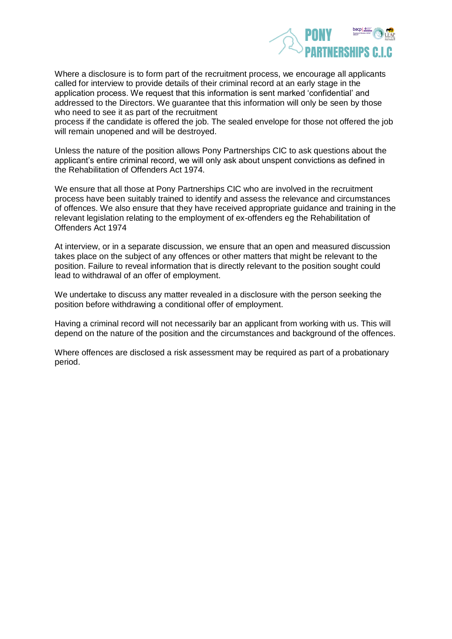

Where a disclosure is to form part of the recruitment process, we encourage all applicants called for interview to provide details of their criminal record at an early stage in the application process. We request that this information is sent marked 'confidential' and addressed to the Directors. We guarantee that this information will only be seen by those who need to see it as part of the recruitment

process if the candidate is offered the job. The sealed envelope for those not offered the job will remain unopened and will be destroyed.

Unless the nature of the position allows Pony Partnerships CIC to ask questions about the applicant's entire criminal record, we will only ask about unspent convictions as defined in the Rehabilitation of Offenders Act 1974.

We ensure that all those at Pony Partnerships CIC who are involved in the recruitment process have been suitably trained to identify and assess the relevance and circumstances of offences. We also ensure that they have received appropriate guidance and training in the relevant legislation relating to the employment of ex-offenders eg the Rehabilitation of Offenders Act 1974

At interview, or in a separate discussion, we ensure that an open and measured discussion takes place on the subject of any offences or other matters that might be relevant to the position. Failure to reveal information that is directly relevant to the position sought could lead to withdrawal of an offer of employment.

We undertake to discuss any matter revealed in a disclosure with the person seeking the position before withdrawing a conditional offer of employment.

Having a criminal record will not necessarily bar an applicant from working with us. This will depend on the nature of the position and the circumstances and background of the offences.

Where offences are disclosed a risk assessment may be required as part of a probationary period.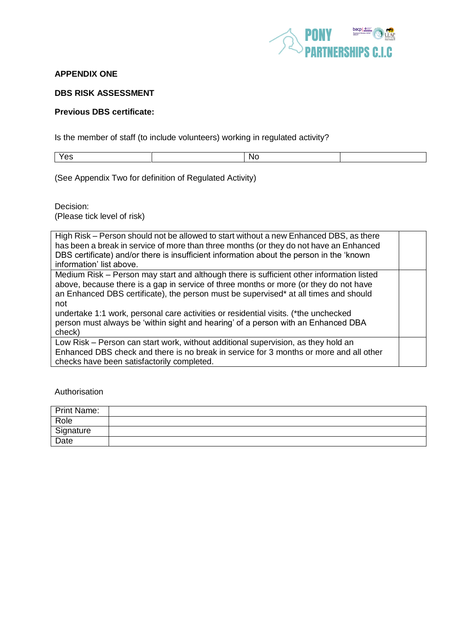

# **APPENDIX ONE**

#### **DBS RISK ASSESSMENT**

#### **Previous DBS certificate:**

Is the member of staff (to include volunteers) working in regulated activity?

Yes No. 2014 | No. 2014 | No. 2014

(See Appendix Two for definition of Regulated Activity)

Decision: (Please tick level of risk)

| High Risk – Person should not be allowed to start without a new Enhanced DBS, as there<br>has been a break in service of more than three months (or they do not have an Enhanced<br>DBS certificate) and/or there is insufficient information about the person in the 'known<br>information' list above.                                                                                                                                                               |  |
|------------------------------------------------------------------------------------------------------------------------------------------------------------------------------------------------------------------------------------------------------------------------------------------------------------------------------------------------------------------------------------------------------------------------------------------------------------------------|--|
| Medium Risk – Person may start and although there is sufficient other information listed<br>above, because there is a gap in service of three months or more (or they do not have<br>an Enhanced DBS certificate), the person must be supervised* at all times and should<br>not<br>undertake 1:1 work, personal care activities or residential visits. (*the unchecked<br>person must always be 'within sight and hearing' of a person with an Enhanced DBA<br>check) |  |
| Low Risk - Person can start work, without additional supervision, as they hold an<br>Enhanced DBS check and there is no break in service for 3 months or more and all other<br>checks have been satisfactorily completed.                                                                                                                                                                                                                                              |  |

Authorisation

| <b>Print Name:</b> |  |
|--------------------|--|
| Role               |  |
| Signature          |  |
| Date               |  |